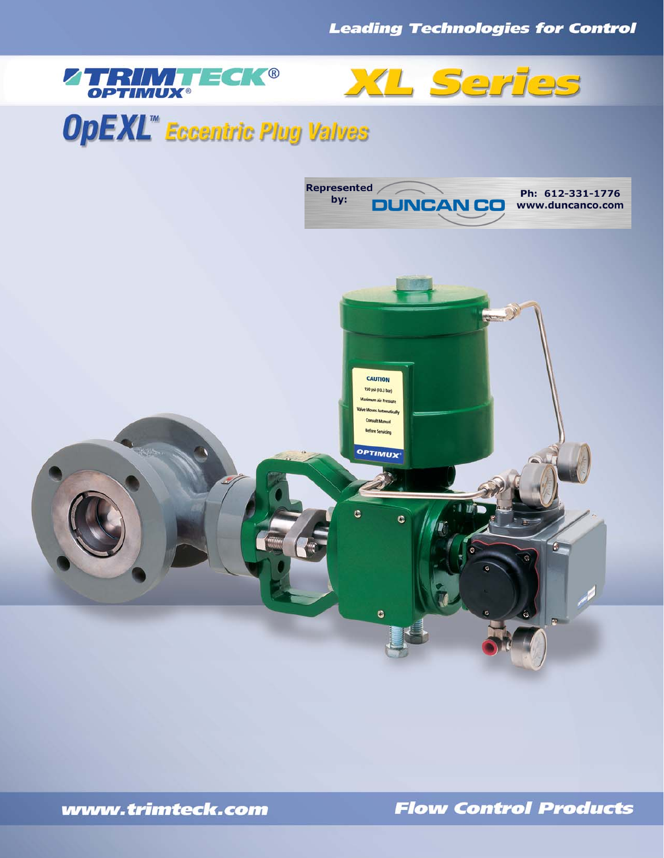



# **OpEXL<sup>\*\*</sup>** Eccentric Plug Valves



**Flow Control Products**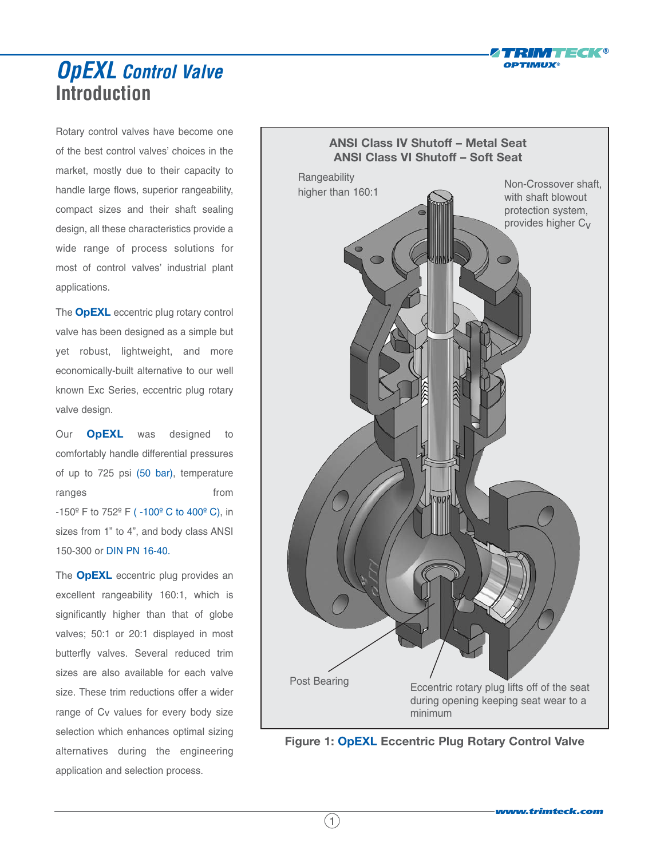

### **Introduction OpEXL Control Valve**

Rotary control valves have become one of the best control valves' choices in the market, mostly due to their capacity to handle large flows, superior rangeability, compact sizes and their shaft sealing design, all these characteristics provide a wide range of process solutions for most of control valves' industrial plant applications.

The **OpEXL** eccentric plug rotary control valve has been designed as a simple but yet robust, lightweight, and more economically-built alternative to our well known Exc Series, eccentric plug rotary valve design.

Our **OpEXL** was designed to comfortably handle differential pressures of up to 725 psi (50 bar), temperature ranges from from -150º F to 752º F ( -100º C to 400º C), in sizes from 1" to 4", and body class ANSI 150-300 or DIN PN 16-40.

The **OpEXL** eccentric plug provides an excellent rangeability 160:1, which is significantly higher than that of globe valves; 50:1 or 20:1 displayed in most butterfly valves. Several reduced trim sizes are also available for each valve size. These trim reductions offer a wider range of C<sub>V</sub> values for every body size selection which enhances optimal sizing alternatives during the engineering application and selection process.



**Figure 1: OpEXL Eccentric Plug Rotary Control Valve**

 $(1)$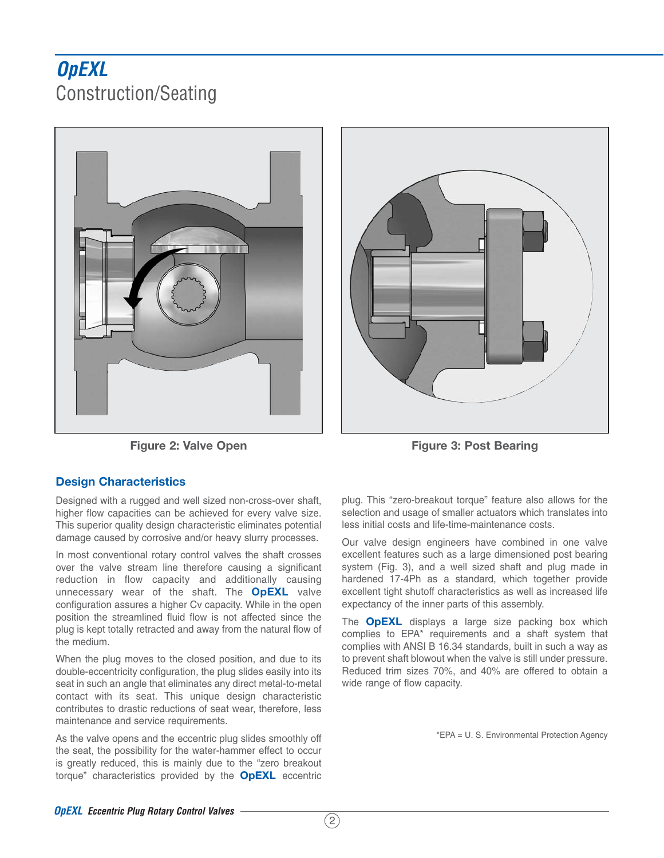## **OpEXL** Construction/Seating





**Figure 2: Valve Open The Contract Contract Property Figure 3: Post Bearing** 

#### **Design Characteristics**

Designed with a rugged and well sized non-cross-over shaft, higher flow capacities can be achieved for every valve size. This superior quality design characteristic eliminates potential damage caused by corrosive and/or heavy slurry processes.

In most conventional rotary control valves the shaft crosses over the valve stream line therefore causing a significant reduction in flow capacity and additionally causing unnecessary wear of the shaft. The **OpEXL** valve configuration assures a higher Cv capacity. While in the open position the streamlined fluid flow is not affected since the plug is kept totally retracted and away from the natural flow of the medium.

When the plug moves to the closed position, and due to its double-eccentricity configuration, the plug slides easily into its seat in such an angle that eliminates any direct metal-to-metal contact with its seat. This unique design characteristic contributes to drastic reductions of seat wear, therefore, less maintenance and service requirements.

As the valve opens and the eccentric plug slides smoothly off the seat, the possibility for the water-hammer effect to occur is greatly reduced, this is mainly due to the "zero breakout torque" characteristics provided by the **OpEXL** eccentric

plug. This "zero-breakout torque" feature also allows for the selection and usage of smaller actuators which translates into less initial costs and life-time-maintenance costs.

Our valve design engineers have combined in one valve excellent features such as a large dimensioned post bearing system (Fig. 3), and a well sized shaft and plug made in hardened 17-4Ph as a standard, which together provide excellent tight shutoff characteristics as well as increased life expectancy of the inner parts of this assembly.

The **OpEXL** displays a large size packing box which complies to EPA\* requirements and a shaft system that complies with ANSI B 16.34 standards, built in such a way as to prevent shaft blowout when the valve is still under pressure. Reduced trim sizes 70%, and 40% are offered to obtain a wide range of flow capacity.

\*EPA = U. S. Environmental Protection Agency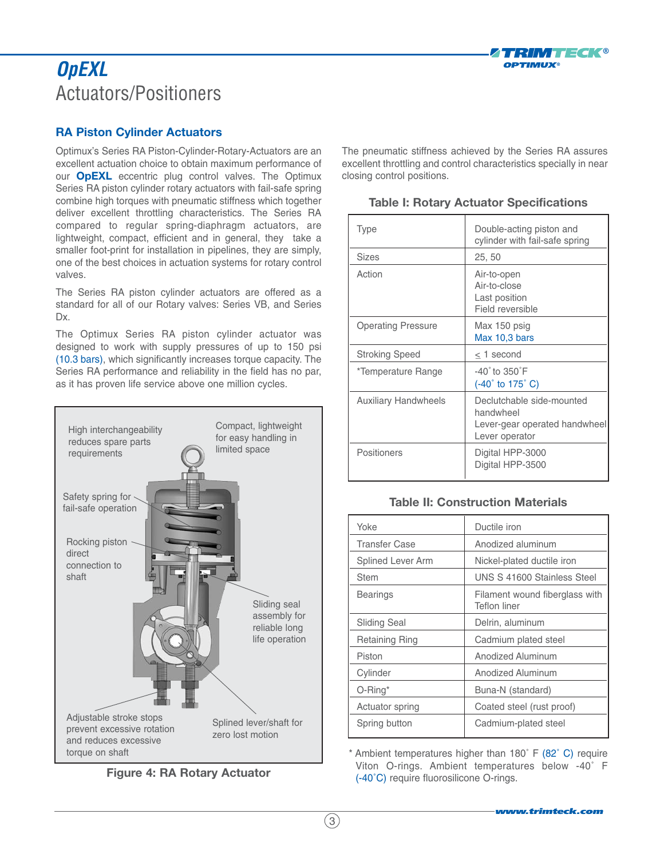

## **OpEXL** Actuators/Positioners

#### **RA Piston Cylinder Actuators**

Optimux's Series RA Piston-Cylinder-Rotary-Actuators are an excellent actuation choice to obtain maximum performance of our **OpEXL** eccentric plug control valves. The Optimux Series RA piston cylinder rotary actuators with fail-safe spring combine high torques with pneumatic stiffness which together deliver excellent throttling characteristics. The Series RA compared to regular spring-diaphragm actuators, are lightweight, compact, efficient and in general, they take a smaller foot-print for installation in pipelines, they are simply, one of the best choices in actuation systems for rotary control valves.

The Series RA piston cylinder actuators are offered as a standard for all of our Rotary valves: Series VB, and Series Dx.

The Optimux Series RA piston cylinder actuator was designed to work with supply pressures of up to 150 psi (10.3 bars), which significantly increases torque capacity. The Series RA performance and reliability in the field has no par, as it has proven life service above one million cycles.



**Figure 4: RA Rotary Actuator**

The pneumatic stiffness achieved by the Series RA assures excellent throttling and control characteristics specially in near closing control positions.

| <b>Type</b>                 | Double-acting piston and<br>cylinder with fail-safe spring                                |
|-----------------------------|-------------------------------------------------------------------------------------------|
| Sizes                       | 25, 50                                                                                    |
| Action                      | Air-to-open<br>Air-to-close<br>Last position<br>Field reversible                          |
| <b>Operating Pressure</b>   | Max 150 psig<br>Max 10,3 bars                                                             |
| <b>Stroking Speed</b>       | $\leq$ 1 second                                                                           |
| *Temperature Range          | $-40^\circ$ to $350^\circ$ F<br>$(-40^{\circ}$ to 175 $^{\circ}$ C)                       |
| <b>Auxiliary Handwheels</b> | Declutchable side-mounted<br>handwheel<br>Lever-gear operated handwheel<br>Lever operator |
| Positioners                 | Digital HPP-3000<br>Digital HPP-3500                                                      |

#### **Table I: Rotary Actuator Specifications**

#### **Table II: Construction Materials**

| Yoke                  | Ductile iron                                   |
|-----------------------|------------------------------------------------|
| <b>Transfer Case</b>  | Anodized aluminum                              |
| Splined Lever Arm     | Nickel-plated ductile iron                     |
| <b>Stem</b>           | UNS S 41600 Stainless Steel                    |
| Bearings              | Filament wound fiberglass with<br>Teflon liner |
| <b>Sliding Seal</b>   | Delrin, aluminum                               |
| <b>Retaining Ring</b> | Cadmium plated steel                           |
| Piston                | Anodized Aluminum                              |
| Cylinder              | Anodized Aluminum                              |
| $O$ -Ring*            | Buna-N (standard)                              |
| Actuator spring       | Coated steel (rust proof)                      |
| Spring button         | Cadmium-plated steel                           |

\* Ambient temperatures higher than 180˚ F (82˚ C) require Viton O-rings. Ambient temperatures below -40˚ F (-40˚C) require fluorosilicone O-rings.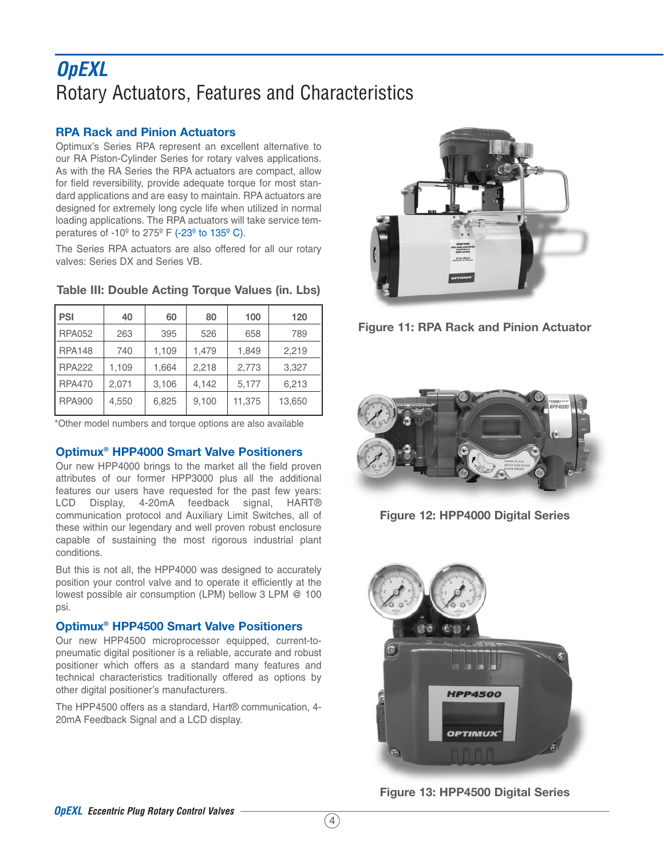## **OpEXL** Rotary Actuators, Features and Characteristics

#### **RPA Rack and Pinion Actuators**

Optimux's Series RPA represent an excellent alternative to our RA Piston-Cylinder Series for rotary valves applications. As with the RA Series the RPA actuators are compact, allow for field reversibility, provide adequate torque for most standard applications and are easy to maintain. RPA actuators are designed for extremely long cycle life when utilized in normal loading applications. The RPA actuators will take service temperatures of -10º to 275º F (-23º to 135º C).

The Series RPA actuators are also offered for all our rotary valves: Series DX and Series VB.

| <b>PSI</b>    | 40    | 60    | 80    | 100    | 120    |
|---------------|-------|-------|-------|--------|--------|
| <b>RPA052</b> | 263   | 395   | 526   | 658    | 789    |
| <b>RPA148</b> | 740   | 1,109 | 1,479 | 1,849  | 2,219  |
| <b>RPA222</b> | 1,109 | 1,664 | 2,218 | 2,773  | 3,327  |
| <b>RPA470</b> | 2.071 | 3,106 | 4.142 | 5,177  | 6,213  |
| <b>RPA900</b> | 4,550 | 6,825 | 9,100 | 11,375 | 13,650 |

#### **Table III: Double Acting Torque Values (in. Lbs)**

\*Other model numbers and torque options are also available

#### **Optimux® HPP4000 Smart Valve Positioners**

Our new HPP4000 brings to the market all the field proven attributes of our former HPP3000 plus all the additional features our users have requested for the past few years: LCD Display, 4-20mA feedback signal, HART® communication protocol and Auxiliary Limit Switches, all of these within our legendary and well proven robust enclosure capable of sustaining the most rigorous industrial plant conditions.

But this is not all, the HPP4000 was designed to accurately position your control valve and to operate it efficiently at the lowest possible air consumption (LPM) bellow 3 LPM @ 100 psi.

#### **Optimux® HPP4500 Smart Valve Positioners**

Our new HPP4500 microprocessor equipped, current-topneumatic digital positioner is a reliable, accurate and robust positioner which offers as a standard many features and technical characteristics traditionally offered as options by other digital positioner's manufacturers.

The HPP4500 offers as a standard, Hart® communication, 4- 20mA Feedback Signal and a LCD display.







**Figure 12: HPP4000 Digital Series**



**Figure 13: HPP4500 Digital Series**

 $(4)$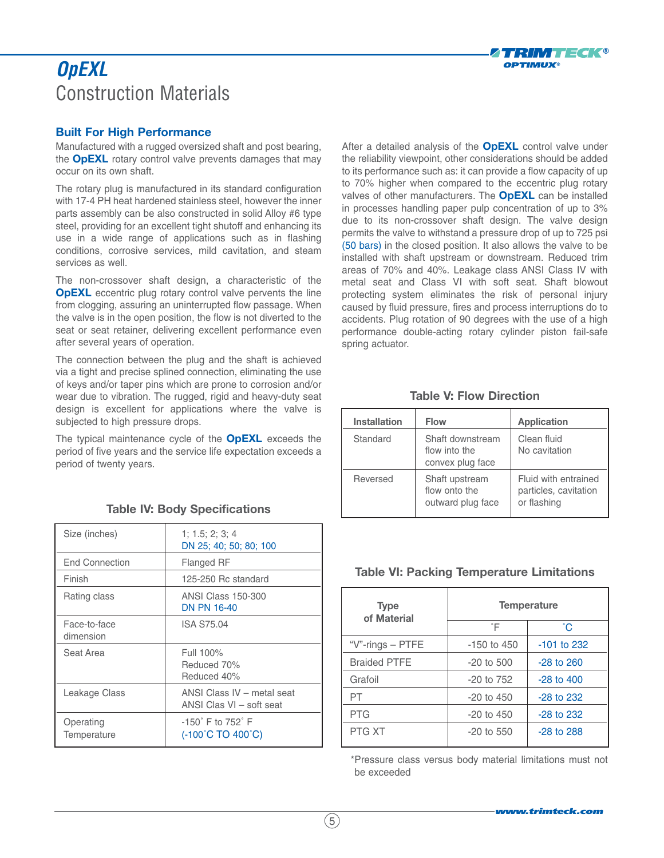### **OpEXL** Construction Materials



#### **Built For High Performance**

Manufactured with a rugged oversized shaft and post bearing, the **OpEXL** rotary control valve prevents damages that may occur on its own shaft.

The rotary plug is manufactured in its standard configuration with 17-4 PH heat hardened stainless steel, however the inner parts assembly can be also constructed in solid Alloy #6 type steel, providing for an excellent tight shutoff and enhancing its use in a wide range of applications such as in flashing conditions, corrosive services, mild cavitation, and steam services as well.

The non-crossover shaft design, a characteristic of the **OpEXL** eccentric plug rotary control valve pervents the line from clogging, assuring an uninterrupted flow passage. When the valve is in the open position, the flow is not diverted to the seat or seat retainer, delivering excellent performance even after several years of operation.

The connection between the plug and the shaft is achieved via a tight and precise splined connection, eliminating the use of keys and/or taper pins which are prone to corrosion and/or wear due to vibration. The rugged, rigid and heavy-duty seat design is excellent for applications where the valve is subjected to high pressure drops.

The typical maintenance cycle of the **OpEXL** exceeds the period of five years and the service life expectation exceeds a period of twenty years.

| Size (inches)             | 1; 1.5; 2; 3; 4<br>DN 25; 40; 50; 80; 100                               |
|---------------------------|-------------------------------------------------------------------------|
| <b>End Connection</b>     | <b>Flanged RF</b>                                                       |
| Finish                    | 125-250 Rc standard                                                     |
| Rating class              | <b>ANSI Class 150-300</b><br><b>DN PN 16-40</b>                         |
| Face-to-face<br>dimension | <b>ISA S75.04</b>                                                       |
| Seat Area                 | Full 100%<br>Reduced 70%<br>Reduced 40%                                 |
| Leakage Class             | ANSI Class IV - metal seat<br>ANSI Clas VI - soft seat                  |
| Operating<br>Temperature  | $-150^\circ$ F to 752 $^\circ$ F<br>$(-100^{\circ}C$ TO $400^{\circ}C)$ |

#### **Table IV: Body Specifications**

After a detailed analysis of the **OpEXL** control valve under the reliability viewpoint, other considerations should be added to its performance such as: it can provide a flow capacity of up to 70% higher when compared to the eccentric plug rotary valves of other manufacturers. The **OpEXL** can be installed in processes handling paper pulp concentration of up to 3% due to its non-crossover shaft design. The valve design permits the valve to withstand a pressure drop of up to 725 psi (50 bars) in the closed position. It also allows the valve to be installed with shaft upstream or downstream. Reduced trim areas of 70% and 40%. Leakage class ANSI Class IV with metal seat and Class VI with soft seat. Shaft blowout protecting system eliminates the risk of personal injury caused by fluid pressure, fires and process interruptions do to accidents. Plug rotation of 90 degrees with the use of a high performance double-acting rotary cylinder piston fail-safe spring actuator.

#### **Table V: Flow Direction**

| <b>Installation</b> | <b>Flow</b>                                           | <b>Application</b>                                           |
|---------------------|-------------------------------------------------------|--------------------------------------------------------------|
| Standard            | Shaft downstream<br>flow into the<br>convex plug face | Clean fluid<br>No cavitation                                 |
| Reversed            | Shaft upstream<br>flow onto the<br>outward plug face  | Fluid with entrained<br>particles, cavitation<br>or flashing |

#### **Table VI: Packing Temperature Limitations**

| <b>Type</b><br>of Material |                | <b>Temperature</b> |
|----------------------------|----------------|--------------------|
|                            | °F             | °С                 |
| "V"-rings - PTFE           | $-150$ to 450  | $-101$ to 232      |
| <b>Braided PTFE</b>        | $-20$ to 500   | $-28$ to $260$     |
| Grafoil                    | $-20$ to $752$ | $-28$ to $400$     |
| PT                         | $-20$ to $450$ | $-28$ to $232$     |
| <b>PTG</b>                 | $-20$ to $450$ | $-28$ to $232$     |
| PTG XT                     | $-20$ to 550   | $-28$ to $288$     |

\*Pressure class versus body material limitations must not be exceeded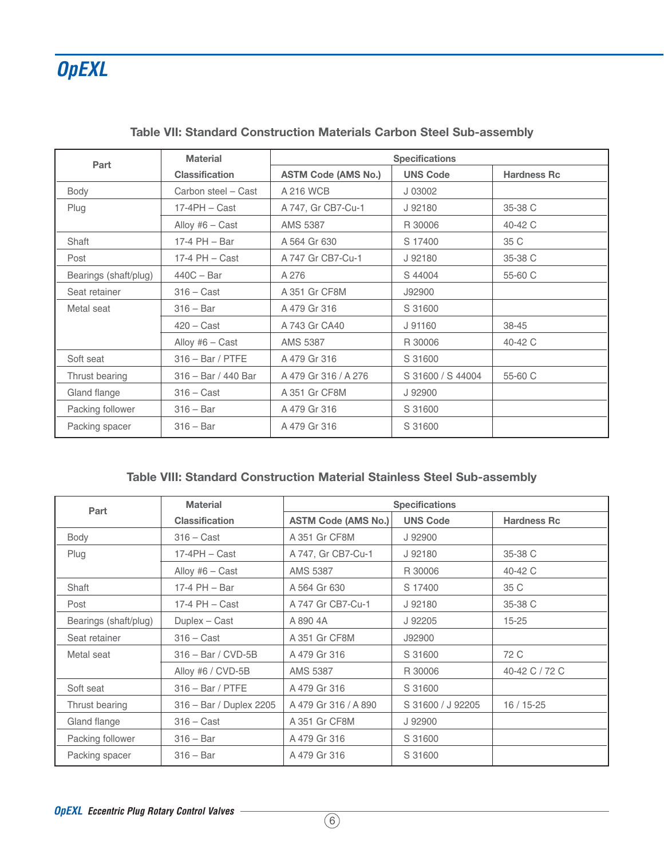| Part                  | <b>Material</b>       | <b>Specifications</b>      |                   |                    |  |  |
|-----------------------|-----------------------|----------------------------|-------------------|--------------------|--|--|
|                       | <b>Classification</b> | <b>ASTM Code (AMS No.)</b> | <b>UNS Code</b>   | <b>Hardness Rc</b> |  |  |
| Body                  | Carbon steel - Cast   | A 216 WCB                  | J 03002           |                    |  |  |
| Plug                  | $17-4PH - Cast$       | A 747, Gr CB7-Cu-1         | J 92180           | 35-38 C            |  |  |
|                       | Alloy #6 $-$ Cast     | AMS 5387                   | R 30006           | 40-42 C            |  |  |
| Shaft                 | $17-4$ PH $-$ Bar     | A 564 Gr 630               | S 17400           | 35 C               |  |  |
| Post                  | $17-4$ PH $-$ Cast    | A 747 Gr CB7-Cu-1          | J 92180           | 35-38 C            |  |  |
| Bearings (shaft/plug) | $440C - Bar$          | A 276                      | S 44004           | 55-60 C            |  |  |
| Seat retainer         | $316 - Cast$          | A 351 Gr CF8M              | J92900            |                    |  |  |
| Metal seat            | $316 - Bar$           | A 479 Gr 316               | S 31600           |                    |  |  |
|                       | $420 - Cast$          | A 743 Gr CA40              | J 91160           | 38-45              |  |  |
|                       | Alloy #6 $-$ Cast     | AMS 5387                   | R 30006           | 40-42 C            |  |  |
| Soft seat             | $316 - Bar / PTFE$    | A 479 Gr 316               | S 31600           |                    |  |  |
| Thrust bearing        | 316 - Bar / 440 Bar   | A 479 Gr 316 / A 276       | S 31600 / S 44004 | 55-60 C            |  |  |
| Gland flange          | $316 - Cast$          | A 351 Gr CF8M              | J 92900           |                    |  |  |
| Packing follower      | $316 - Bar$           | A 479 Gr 316               | S 31600           |                    |  |  |
| Packing spacer        | $316 - Bar$           | A 479 Gr 316               | S 31600           |                    |  |  |

#### **Table VII: Standard Construction Materials Carbon Steel Sub-assembly**

#### **Table VIII: Standard Construction Material Stainless Steel Sub-assembly**

| Part                  | <b>Material</b>         | <b>Specifications</b>      |                   |                    |  |  |
|-----------------------|-------------------------|----------------------------|-------------------|--------------------|--|--|
|                       | <b>Classification</b>   | <b>ASTM Code (AMS No.)</b> | <b>UNS Code</b>   | <b>Hardness Rc</b> |  |  |
| Body                  | $316 - Cast$            | A 351 Gr CF8M              | J 92900           |                    |  |  |
| Plug                  | $17-4$ PH – Cast        | A 747, Gr CB7-Cu-1         | J 92180           | 35-38 C            |  |  |
|                       | Alloy #6 $-$ Cast       | <b>AMS 5387</b>            | R 30006           | 40-42 C            |  |  |
| Shaft                 | 17-4 $PH - Bar$         | A 564 Gr 630               | S 17400           | 35 C               |  |  |
| Post                  | $17-4$ PH $-$ Cast      | A 747 Gr CB7-Cu-1          | J 92180           | 35-38 C            |  |  |
| Bearings (shaft/plug) | Duplex - Cast           | A 890 4A                   | J 92205           | $15 - 25$          |  |  |
| Seat retainer         | $316 - Cast$            | A 351 Gr CF8M              | J92900            |                    |  |  |
| Metal seat            | $316 - Bar / CVD-5B$    | A 479 Gr 316               | S 31600           | 72 C               |  |  |
|                       | Alloy #6 / CVD-5B       | AMS 5387                   | R 30006           | 40-42 C / 72 C     |  |  |
| Soft seat             | $316 - Bar / PTFE$      | A 479 Gr 316               | S 31600           |                    |  |  |
| Thrust bearing        | 316 - Bar / Duplex 2205 | A 479 Gr 316 / A 890       | S 31600 / J 92205 | $16/15 - 25$       |  |  |
| Gland flange          | $316 - Cast$            | A 351 Gr CF8M              | J 92900           |                    |  |  |
| Packing follower      | $316 - Bar$             | A 479 Gr 316               | S 31600           |                    |  |  |
| Packing spacer        | $316 - Bar$             | A 479 Gr 316               | S 31600           |                    |  |  |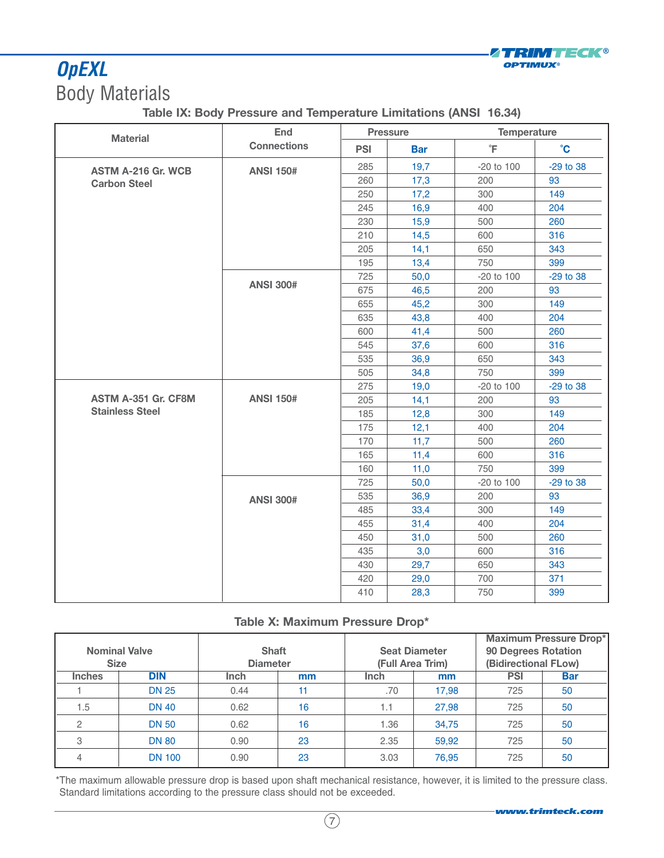#### ZTRIMTECK® **OPTIMUX®**

## **OpEXL** Body Materials

#### **Table IX: Body Pressure and Temperature Limitations (ANSI 16.34)**

| <b>Material</b>            | End                |            | <b>Pressure</b> | <b>Temperature</b> |              |  |
|----------------------------|--------------------|------------|-----------------|--------------------|--------------|--|
|                            | <b>Connections</b> | <b>PSI</b> | <b>Bar</b>      | $\overline{\ }$ F  | $\mathbf{C}$ |  |
| <b>ASTM A-216 Gr. WCB</b>  | <b>ANSI 150#</b>   | 285        | 19,7            | $-20$ to $100$     | -29 to 38    |  |
| <b>Carbon Steel</b>        |                    | 260        | 17,3            | 200                | 93           |  |
|                            |                    | 250        | 17,2            | 300                | 149          |  |
|                            |                    | 245        | 16,9            | 400                | 204          |  |
|                            |                    | 230        | 15,9            | 500                | 260          |  |
|                            |                    | 210        | 14,5            | 600                | 316          |  |
|                            |                    | 205        | 14,1            | 650                | 343          |  |
|                            |                    | 195        | 13,4            | 750                | 399          |  |
|                            |                    | 725        | 50,0            | -20 to 100         | -29 to 38    |  |
|                            | <b>ANSI 300#</b>   | 675        | 46,5            | 200                | 93           |  |
|                            |                    | 655        | 45,2            | 300                | 149          |  |
|                            |                    | 635        | 43,8            | 400                | 204          |  |
|                            |                    | 600        | 41,4            | 500                | 260          |  |
|                            |                    | 545        | 37,6            | 600                | 316          |  |
|                            |                    | 535        | 36,9            | 650                | 343          |  |
|                            |                    | 505        | 34,8            | 750                | 399          |  |
|                            |                    | 275        | 19,0            | -20 to 100         | -29 to 38    |  |
| <b>ASTM A-351 Gr. CF8M</b> | <b>ANSI 150#</b>   | 205        | 14,1            | 200                | 93           |  |
| <b>Stainless Steel</b>     |                    | 185        | 12,8            | 300                | 149          |  |
|                            |                    | 175        | 12,1            | 400                | 204          |  |
|                            |                    | 170        | 11,7            | 500                | 260          |  |
|                            |                    | 165        | 11,4            | 600                | 316          |  |
|                            |                    | 160        | 11,0            | 750                | 399          |  |
|                            |                    | 725        | 50,0            | $-20$ to $100$     | $-29$ to 38  |  |
|                            | <b>ANSI 300#</b>   | 535        | 36,9            | 200                | 93           |  |
|                            |                    | 485        | 33,4            | 300                | 149          |  |
|                            |                    | 455        | 31,4            | 400                | 204          |  |
|                            |                    | 450        | 31,0            | 500                | 260          |  |
|                            |                    | 435        | 3,0             | 600                | 316          |  |
|                            |                    | 430        | 29,7            | 650                | 343          |  |
|                            |                    | 420        | 29,0            | 700                | 371          |  |
|                            |                    | 410        | 28,3            | 750                | 399          |  |

#### **Table X: Maximum Pressure Drop\***

| <b>Size</b>   | <b>Nominal Valve</b> | <b>Shaft</b><br><b>Diameter</b> |    | <b>Seat Diameter</b><br>(Full Area Trim) |       | 90 Degrees Rotation<br>(Bidirectional FLow) | <b>Maximum Pressure Drop*</b> |
|---------------|----------------------|---------------------------------|----|------------------------------------------|-------|---------------------------------------------|-------------------------------|
| <b>Inches</b> | <b>DIN</b>           | Inch                            | mm | <b>Inch</b>                              | mm    | <b>PSI</b>                                  | <b>Bar</b>                    |
|               | <b>DN 25</b>         | 0.44                            | 11 | .70                                      | 17,98 | 725                                         | 50                            |
| 1.5           | <b>DN 40</b>         | 0.62                            | 16 | 1.1                                      | 27,98 | 725                                         | 50                            |
|               | <b>DN 50</b>         | 0.62                            | 16 | 1.36                                     | 34,75 | 725                                         | 50                            |
| 3             | <b>DN 80</b>         | 0.90                            | 23 | 2.35                                     | 59,92 | 725                                         | 50                            |
|               | <b>DN 100</b>        | 0.90                            | 23 | 3.03                                     | 76,95 | 725                                         | 50                            |

\*The maximum allowable pressure drop is based upon shaft mechanical resistance, however, it is limited to the pressure class. Standard limitations according to the pressure class should not be exceeded.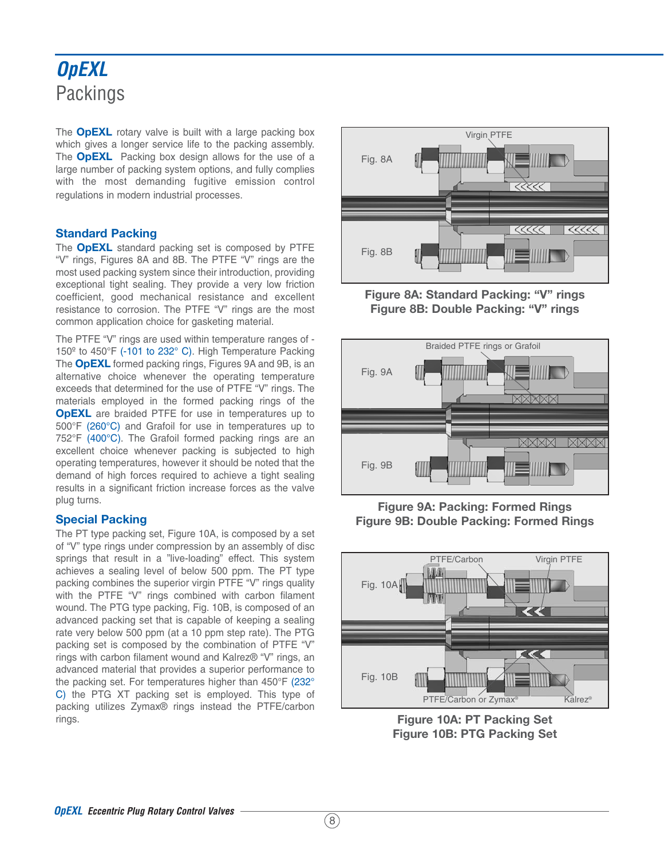## **OpEXL Packings**

The **OpEXL** rotary valve is built with a large packing box which gives a longer service life to the packing assembly. The **OpEXL** Packing box design allows for the use of a large number of packing system options, and fully complies with the most demanding fugitive emission control regulations in modern industrial processes.

#### **Standard Packing**

The **OpEXL** standard packing set is composed by PTFE "V" rings, Figures 8A and 8B. The PTFE "V" rings are the most used packing system since their introduction, providing exceptional tight sealing. They provide a very low friction coefficient, good mechanical resistance and excellent resistance to corrosion. The PTFE "V" rings are the most common application choice for gasketing material.

The PTFE "V" rings are used within temperature ranges of - 150º to 450°F (-101 to 232° C). High Temperature Packing The **OpEXL** formed packing rings, Figures 9A and 9B, is an alternative choice whenever the operating temperature exceeds that determined for the use of PTFE "V" rings. The materials employed in the formed packing rings of the **OpEXL** are braided PTFE for use in temperatures up to 500°F (260°C) and Grafoil for use in temperatures up to 752°F (400°C). The Grafoil formed packing rings are an excellent choice whenever packing is subjected to high operating temperatures, however it should be noted that the demand of high forces required to achieve a tight sealing results in a significant friction increase forces as the valve plug turns.

#### **Special Packing**

The PT type packing set, Figure 10A, is composed by a set of "V" type rings under compression by an assembly of disc springs that result in a "live-loading" effect. This system achieves a sealing level of below 500 ppm. The PT type packing combines the superior virgin PTFE "V" rings quality with the PTFE "V" rings combined with carbon filament wound. The PTG type packing, Fig. 10B, is composed of an advanced packing set that is capable of keeping a sealing rate very below 500 ppm (at a 10 ppm step rate). The PTG packing set is composed by the combination of PTFE "V" rings with carbon filament wound and Kalrez® "V" rings, an advanced material that provides a superior performance to the packing set. For temperatures higher than 450°F (232° C) the PTG XT packing set is employed. This type of packing utilizes Zymax® rings instead the PTFE/carbon rings.



**Figure 8A: Standard Packing: "V" rings Figure 8B: Double Packing: "V" rings**



**Figure 9A: Packing: Formed Rings Figure 9B: Double Packing: Formed Rings**



**Figure 10A: PT Packing Set Figure 10B: PTG Packing Set**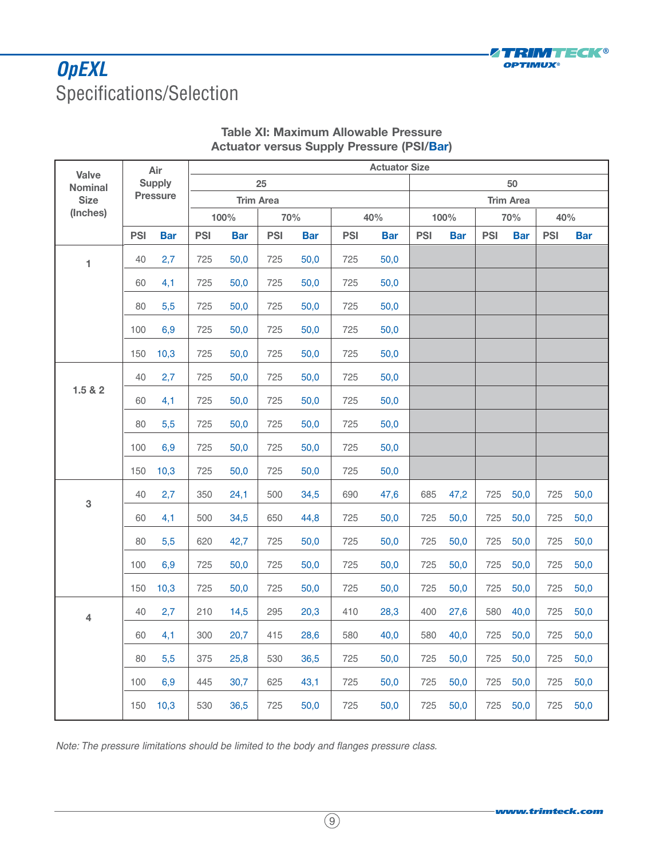

## **OpEXL** Specifications/Selection

|                                |            | Air             | <b>Actuator Size</b> |            |                  |            |            |            |                  |            |            |            |            |            |
|--------------------------------|------------|-----------------|----------------------|------------|------------------|------------|------------|------------|------------------|------------|------------|------------|------------|------------|
| <b>Valve</b><br><b>Nominal</b> |            | <b>Supply</b>   |                      | 25         |                  |            |            |            |                  |            |            | 50         |            |            |
| <b>Size</b>                    |            | <b>Pressure</b> |                      |            | <b>Trim Area</b> |            |            |            | <b>Trim Area</b> |            |            |            |            |            |
| (Inches)                       |            |                 |                      | 100%       |                  | 70%        |            | 40%        |                  | 100%       |            | 70%        | 40%        |            |
|                                | <b>PSI</b> | <b>Bar</b>      | <b>PSI</b>           | <b>Bar</b> | <b>PSI</b>       | <b>Bar</b> | <b>PSI</b> | <b>Bar</b> | <b>PSI</b>       | <b>Bar</b> | <b>PSI</b> | <b>Bar</b> | <b>PSI</b> | <b>Bar</b> |
| 1                              | 40         | 2,7             | 725                  | 50,0       | 725              | 50,0       | 725        | 50,0       |                  |            |            |            |            |            |
|                                | 60         | 4,1             | 725                  | 50,0       | 725              | 50,0       | 725        | 50,0       |                  |            |            |            |            |            |
|                                | 80         | 5,5             | 725                  | 50,0       | 725              | 50,0       | 725        | 50,0       |                  |            |            |            |            |            |
|                                | 100        | 6,9             | 725                  | 50,0       | 725              | 50,0       | 725        | 50,0       |                  |            |            |            |            |            |
|                                | 150        | 10,3            | 725                  | 50,0       | 725              | 50,0       | 725        | 50,0       |                  |            |            |            |            |            |
|                                | 40         | 2,7             | 725                  | 50,0       | 725              | 50,0       | 725        | 50,0       |                  |            |            |            |            |            |
| 1.5 & 2                        | 60         | 4,1             | 725                  | 50,0       | 725              | 50,0       | 725        | 50,0       |                  |            |            |            |            |            |
|                                | 80         | 5,5             | 725                  | 50,0       | 725              | 50,0       | 725        | 50,0       |                  |            |            |            |            |            |
|                                | 100        | 6,9             | 725                  | 50,0       | 725              | 50,0       | 725        | 50,0       |                  |            |            |            |            |            |
|                                | 150        | 10,3            | 725                  | 50,0       | 725              | 50,0       | 725        | 50,0       |                  |            |            |            |            |            |
| 3                              | 40         | 2,7             | 350                  | 24,1       | 500              | 34,5       | 690        | 47,6       | 685              | 47,2       | 725        | 50,0       | 725        | 50,0       |
|                                | 60         | 4,1             | 500                  | 34,5       | 650              | 44,8       | 725        | 50,0       | 725              | 50,0       | 725        | 50,0       | 725        | 50,0       |
|                                | 80         | 5,5             | 620                  | 42,7       | 725              | 50,0       | 725        | 50,0       | 725              | 50,0       | 725        | 50,0       | 725        | 50,0       |
|                                | 100        | 6,9             | 725                  | 50,0       | 725              | 50,0       | 725        | 50,0       | 725              | 50,0       | 725        | 50,0       | 725        | 50,0       |
|                                | 150        | 10,3            | 725                  | 50,0       | 725              | 50,0       | 725        | 50,0       | 725              | 50,0       | 725        | 50,0       | 725        | 50,0       |
| $\overline{\mathbf{4}}$        | 40         | 2,7             | 210                  | 14,5       | 295              | 20,3       | 410        | 28,3       | 400              | 27,6       | 580        | 40,0       | 725        | 50,0       |
|                                | 60         | 4,1             | 300                  | 20,7       | 415              | 28,6       | 580        | 40,0       | 580              | 40,0       | 725        | 50,0       | 725        | 50,0       |
|                                | 80         | 5,5             | 375                  | 25,8       | 530              | 36,5       | 725        | 50,0       | 725              | 50,0       | 725        | 50,0       | 725        | 50,0       |
|                                | 100        | 6,9             | 445                  | 30,7       | 625              | 43,1       | 725        | 50,0       | 725              | 50,0       | 725        | 50,0       | 725        | 50,0       |
|                                | 150        | 10,3            | 530                  | 36,5       | 725              | 50,0       | 725        | 50,0       | 725              | 50,0       | 725        | 50,0       | 725        | 50,0       |

#### **Table XI: Maximum Allowable Pressure Actuator versus Supply Pressure (PSI/Bar)**

Note: The pressure limitations should be limited to the body and flanges pressure class.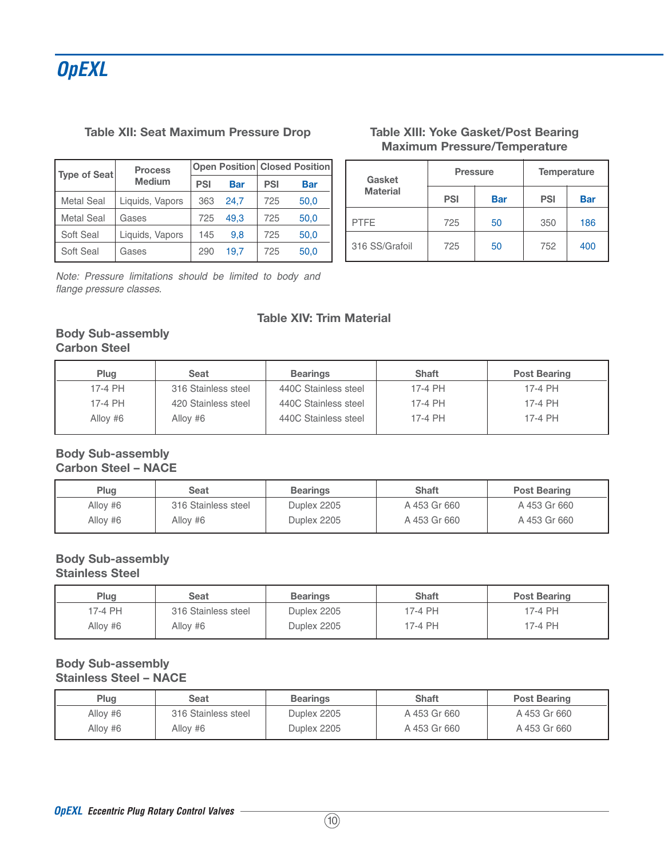#### **Table XII: Seat Maximum Pressure Drop**

| Type of Seat      | <b>Process</b>  |            | <b>Open Position Closed Position</b> |            |            |
|-------------------|-----------------|------------|--------------------------------------|------------|------------|
|                   | <b>Medium</b>   | <b>PSI</b> | <b>Bar</b>                           | <b>PSI</b> | <b>Bar</b> |
| <b>Metal Seal</b> | Liquids, Vapors | 363        | 24.7                                 | 725        | 50,0       |
| <b>Metal Seal</b> | Gases           | 725        | 49.3                                 | 725        | 50,0       |
| Soft Seal         | Liquids, Vapors | 145        | 9.8                                  | 725        | 50,0       |
| Soft Seal         | Gases           | 290        | 19.7                                 | 725        | 50,0       |

Note: Pressure limitations should be limited to body and flange pressure classes.

#### **Table XIII: Yoke Gasket/Post Bearing Maximum Pressure/Temperature**

| Gasket          | <b>Pressure</b> |            | <b>Temperature</b> |            |
|-----------------|-----------------|------------|--------------------|------------|
| <b>Material</b> | <b>PSI</b>      | <b>Bar</b> | <b>PSI</b>         | <b>Bar</b> |
| <b>PTFE</b>     | 725             | 50         | 350                | 186        |
| 316 SS/Grafoil  | 725             | 50         | 752                | 400        |

#### **Table XIV: Trim Material**

#### **Body Sub-assembly Carbon Steel**

| Plug     | Seat                | <b>Bearings</b>      | <b>Shaft</b> | <b>Post Bearing</b> |
|----------|---------------------|----------------------|--------------|---------------------|
| 17-4 PH  | 316 Stainless steel | 440C Stainless steel | 17-4 PH      | 17-4 PH             |
| 17-4 PH  | 420 Stainless steel | 440C Stainless steel | 17-4 PH      | 17-4 PH             |
| Alloy #6 | Alloy #6            | 440C Stainless steel | 17-4 PH      | 17-4 PH             |

#### **Body Sub-assembly Carbon Steel – NACE**

| Plug     | Seat                | <b>Bearings</b> | <b>Shaft</b> | <b>Post Bearing</b> |
|----------|---------------------|-----------------|--------------|---------------------|
| Alloy #6 | 316 Stainless steel | Duplex 2205     | A 453 Gr 660 | A 453 Gr 660        |
| Alloy #6 | Allov #6            | Duplex 2205     | A 453 Gr 660 | A 453 Gr 660        |

#### **Body Sub-assembly Stainless Steel**

| Plug     | Seat                | <b>Bearings</b> | <b>Shaft</b> | <b>Post Bearing</b> |
|----------|---------------------|-----------------|--------------|---------------------|
| 17-4 PH  | 316 Stainless steel | Duplex 2205     | 17-4 PH      | 17-4 PH             |
| Alloy #6 | Allov #6            | Duplex 2205     | 17-4 PH      | 17-4 PH             |

#### **Body Sub-assembly Stainless Steel – NACE**

| Plug     | Seat                | <b>Bearings</b> | <b>Shaft</b> | <b>Post Bearing</b> |
|----------|---------------------|-----------------|--------------|---------------------|
| Alloy #6 | 316 Stainless steel | Duplex 2205     | A 453 Gr 660 | A 453 Gr 660        |
| Alloy #6 | Allov #6            | Duplex 2205     | A 453 Gr 660 | A 453 Gr 660        |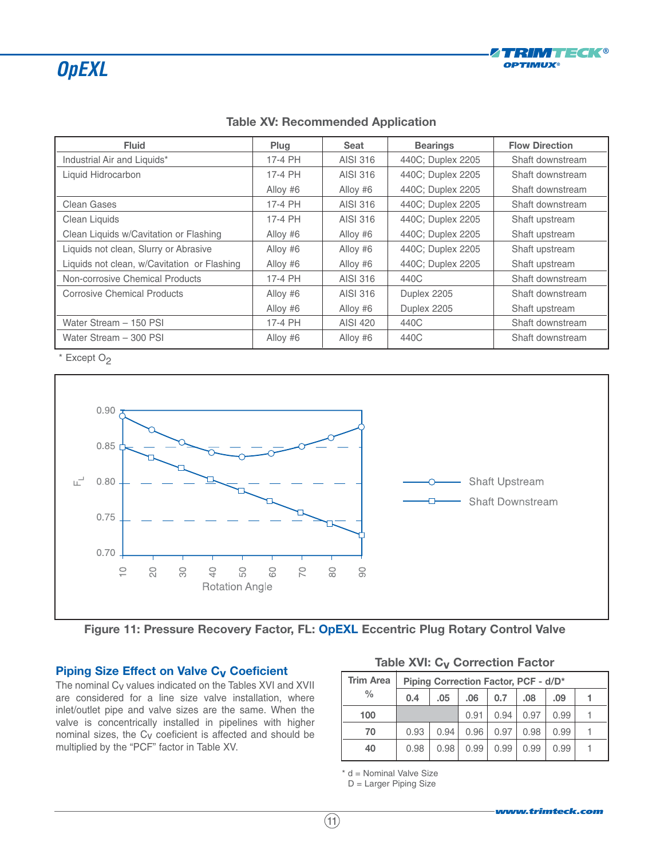

| <b>Fluid</b>                                | Plug     | <b>Seat</b> | <b>Bearings</b>   | <b>Flow Direction</b> |
|---------------------------------------------|----------|-------------|-------------------|-----------------------|
| Industrial Air and Liquids*                 | 17-4 PH  | AISI 316    | 440C; Duplex 2205 | Shaft downstream      |
| Liquid Hidrocarbon                          | 17-4 PH  | AISI 316    | 440C; Duplex 2205 | Shaft downstream      |
|                                             | Alloy #6 | Alloy #6    | 440C; Duplex 2205 | Shaft downstream      |
| <b>Clean Gases</b>                          | 17-4 PH  | AISI 316    | 440C; Duplex 2205 | Shaft downstream      |
| Clean Liquids                               | 17-4 PH  | AISI 316    | 440C; Duplex 2205 | Shaft upstream        |
| Clean Liquids w/Cavitation or Flashing      | Alloy #6 | Alloy #6    | 440C; Duplex 2205 | Shaft upstream        |
| Liquids not clean, Slurry or Abrasive       | Alloy #6 | Alloy #6    | 440C; Duplex 2205 | Shaft upstream        |
| Liquids not clean, w/Cavitation or Flashing | Alloy #6 | Alloy #6    | 440C; Duplex 2205 | Shaft upstream        |
| Non-corrosive Chemical Products             | 17-4 PH  | AISI 316    | 440C              | Shaft downstream      |
| <b>Corrosive Chemical Products</b>          | Alloy #6 | AISI 316    | Duplex 2205       | Shaft downstream      |
|                                             | Alloy #6 | Alloy #6    | Duplex 2205       | Shaft upstream        |
| Water Stream - 150 PSI                      | 17-4 PH  | AISI 420    | 440C              | Shaft downstream      |
| Water Stream - 300 PSI                      | Alloy #6 | Alloy #6    | 440C              | Shaft downstream      |

#### **Table XV: Recommended Application**

 $*$  Except O<sub>2</sub>



**Figure 11: Pressure Recovery Factor, FL: OpEXL Eccentric Plug Rotary Control Valve**

#### **Piping Size Effect on Valve C<sub>V</sub> Coeficient**

The nominal Cv values indicated on the Tables XVI and XVII are considered for a line size valve installation, where inlet/outlet pipe and valve sizes are the same. When the valve is concentrically installed in pipelines with higher nominal sizes, the Cv coeficient is affected and should be multiplied by the "PCF" factor in Table XV.

|  | Table XVI: C <sub>v</sub> Correction Factor |
|--|---------------------------------------------|
|--|---------------------------------------------|

| <b>Trim Area</b> |      | Piping Correction Factor, PCF - d/D* |      |      |      |      |  |
|------------------|------|--------------------------------------|------|------|------|------|--|
| $\frac{0}{0}$    | 0.4  | .05                                  | .06  | 0.7  | .08  | .09  |  |
| 100              |      |                                      | 0.91 | 0.94 | 0.97 | 0.99 |  |
| 70               | 0.93 | 0.94                                 | 0.96 | 0.97 | 0.98 | 0.99 |  |
| 40               | 0.98 | 0.98                                 | 0.99 | 0.99 | 0.99 | 0.99 |  |

\* d = Nominal Valve Size

D = Larger Piping Size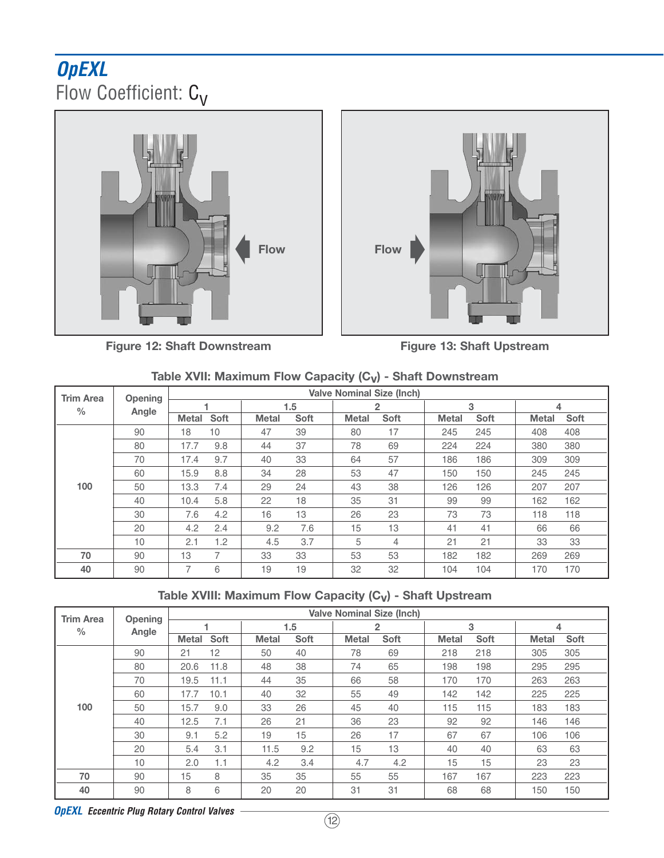## **OpEXL** Flow Coefficient: C<sub>V</sub>





**Figure 12: Shaft Downstream**

**Figure 13: Shaft Upstream**

| <b>Trim Area</b> | <b>Opening</b> |                |      | <b>Valve Nominal Size (Inch)</b> |             |              |             |              |      |              |      |  |  |
|------------------|----------------|----------------|------|----------------------------------|-------------|--------------|-------------|--------------|------|--------------|------|--|--|
| $\frac{0}{0}$    | Angle          |                |      |                                  | 1.5         |              | 2           |              | 3    | 4            |      |  |  |
|                  |                | <b>Metal</b>   | Soft | <b>Metal</b>                     | <b>Soft</b> | <b>Metal</b> | <b>Soft</b> | <b>Metal</b> | Soft | <b>Metal</b> | Soft |  |  |
|                  | 90             | 18             | 10   | 47                               | 39          | 80           | 17          | 245          | 245  | 408          | 408  |  |  |
|                  | 80             | 17.7           | 9.8  | 44                               | 37          | 78           | 69          | 224          | 224  | 380          | 380  |  |  |
|                  | 70             | 17.4           | 9.7  | 40                               | 33          | 64           | 57          | 186          | 186  | 309          | 309  |  |  |
|                  | 60             | 15.9           | 8.8  | 34                               | 28          | 53           | 47          | 150          | 150  | 245          | 245  |  |  |
| 100              | 50             | 13.3           | 7.4  | 29                               | 24          | 43           | 38          | 126          | 126  | 207          | 207  |  |  |
|                  | 40             | 10.4           | 5.8  | 22                               | 18          | 35           | 31          | 99           | 99   | 162          | 162  |  |  |
|                  | 30             | 7.6            | 4.2  | 16                               | 13          | 26           | 23          | 73           | 73   | 118          | 118  |  |  |
|                  | 20             | 4.2            | 2.4  | 9.2                              | 7.6         | 15           | 13          | 41           | 41   | 66           | 66   |  |  |
|                  | 10             | 2.1            | 1.2  | 4.5                              | 3.7         | 5            | 4           | 21           | 21   | 33           | 33   |  |  |
| 70               | 90             | 13             | 7    | 33                               | 33          | 53           | 53          | 182          | 182  | 269          | 269  |  |  |
| 40               | 90             | $\overline{ }$ | 6    | 19                               | 19          | 32           | 32          | 104          | 104  | 170          | 170  |  |  |

#### **Table XVIII: Maximum Flow Capacity (Cv) - Shaft Upstream**

| <b>Trim Area</b> | Opening |              |      |              |      |              | <b>Valve Nominal Size (Inch)</b> |              |      |              |             |
|------------------|---------|--------------|------|--------------|------|--------------|----------------------------------|--------------|------|--------------|-------------|
| $\frac{0}{0}$    | Angle   |              |      |              | 1.5  |              | $\overline{2}$                   |              | 3    | 4            |             |
|                  |         | <b>Metal</b> | Soft | <b>Metal</b> | Soft | <b>Metal</b> | <b>Soft</b>                      | <b>Metal</b> | Soft | <b>Metal</b> | <b>Soft</b> |
|                  | 90      | 21           | 12   | 50           | 40   | 78           | 69                               | 218          | 218  | 305          | 305         |
|                  | 80      | 20.6         | 11.8 | 48           | 38   | 74           | 65                               | 198          | 198  | 295          | 295         |
|                  | 70      | 19.5         | 11.1 | 44           | 35   | 66           | 58                               | 170          | 170  | 263          | 263         |
|                  | 60      | 17.7         | 10.1 | 40           | 32   | 55           | 49                               | 142          | 142  | 225          | 225         |
| 100              | 50      | 15.7         | 9.0  | 33           | 26   | 45           | 40                               | 115          | 115  | 183          | 183         |
|                  | 40      | 12.5         | 7.1  | 26           | 21   | 36           | 23                               | 92           | 92   | 146          | 146         |
|                  | 30      | 9.1          | 5.2  | 19           | 15   | 26           | 17                               | 67           | 67   | 106          | 106         |
|                  | 20      | 5.4          | 3.1  | 11.5         | 9.2  | 15           | 13                               | 40           | 40   | 63           | 63          |
|                  | 10      | 2.0          | 1.1  | 4.2          | 3.4  | 4.7          | 4.2                              | 15           | 15   | 23           | 23          |
| 70               | 90      | 15           | 8    | 35           | 35   | 55           | 55                               | 167          | 167  | 223          | 223         |
| 40               | 90      | 8            | 6    | 20           | 20   | 31           | 31                               | 68           | 68   | 150          | 150         |

**OpEXL Eccentric Plug Rotary Control Valves**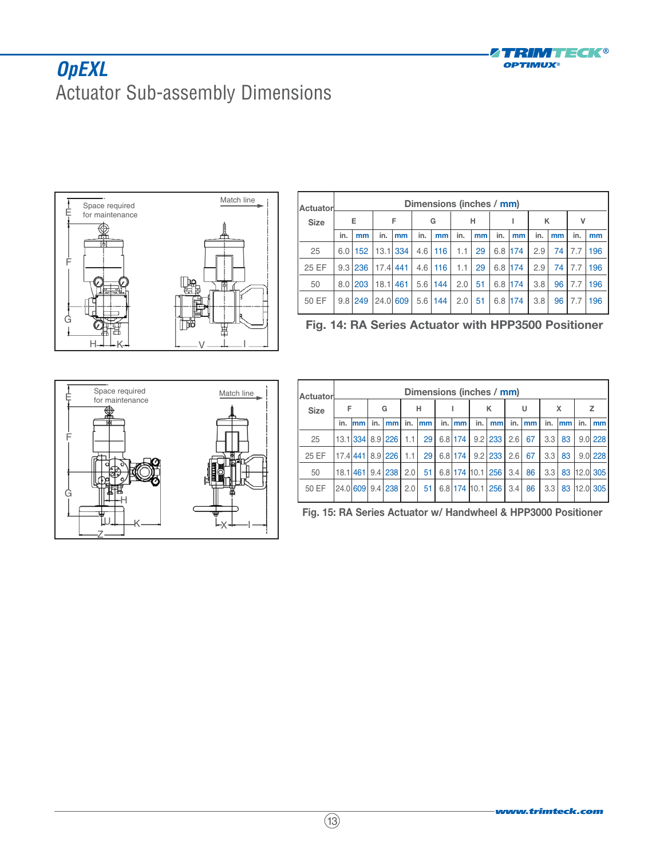

## **OpEXL** Actuator Sub-assembly Dimensions



| Actuatorl   | Dimensions (inches / mm) |         |            |     |     |     |     |    |     |     |     |    |     |     |
|-------------|--------------------------|---------|------------|-----|-----|-----|-----|----|-----|-----|-----|----|-----|-----|
| <b>Size</b> |                          | Е       |            | F   |     | G   |     | н  |     |     | κ   |    | ٧   |     |
|             | in.                      | mm      | in.        | mm  | in. | mm  | in. | mm | in. | mm  | in. | mm | in. | mm  |
| 25          |                          | 6.01152 | $13.1$ 334 |     | 4.6 | 116 | 1.1 | 29 | 6.8 | 174 | 2.9 | 74 | 7.7 | 196 |
| 25 EF       |                          | 9.3 236 | $17.4$ 441 |     | 4.6 | 116 | 1.1 | 29 | 6.8 | 174 | 2.9 | 74 | 7.7 | 196 |
| 50          |                          | 8.01203 | 18.1       | 461 | 5.6 | 144 | 2.0 | 51 | 6.8 | 174 | 3.8 | 96 | 7.7 | 196 |
| 50 EF       | 9.8                      | 249     | 24.0       | 609 | 5.6 | 144 | 2.0 | 51 | 6.8 | 174 | 3.8 | 96 | 7.7 | 196 |

**Fig. 14: RA Series Actuator with HPP3500 Positioner**



| Actuatorl   | Dimensions (inches / mm) |     |     |                      |     |    |     |           |     |                         |     |    |     |    |     |             |
|-------------|--------------------------|-----|-----|----------------------|-----|----|-----|-----------|-----|-------------------------|-----|----|-----|----|-----|-------------|
| <b>Size</b> | F                        |     | G   |                      | н   |    |     |           | κ   |                         | U   |    | x   |    | z   |             |
|             | in.                      | lmm | in. | mm                   | in. | mm | in. | mm        | in. | mm                      | in. | mm | in. | mm | in. | mm          |
| 25          |                          |     |     | 13.1 334 8.9 226 1.1 |     | 29 |     | $6.8$ 174 |     | $9.2$   233   2.6       |     | 67 | 3.3 | 83 |     | $9.0$   228 |
| 25 EF       |                          |     |     | 17.4 441 8.9 226 1.1 |     | 29 |     |           |     | 6.8 174   9.2 233   2.6 |     | 67 | 3.3 | 83 |     | 9.01228     |
| 50          | 18.1                     |     |     | 461 9.4 238          | 2.0 | 51 |     |           |     | 6.8 174 10.1 256 3.4    |     | 86 | 3.3 | 83 |     | 12.0 305    |
| 50 EF       |                          |     |     | 24.0 609 9.4 238 2.0 |     | 51 |     |           |     | 6.8 174 10.1 256 3.4    |     | 86 | 3.3 | 83 |     | 12.0 305    |

**Fig. 15: RA Series Actuator w/ Handwheel & HPP3000 Positioner**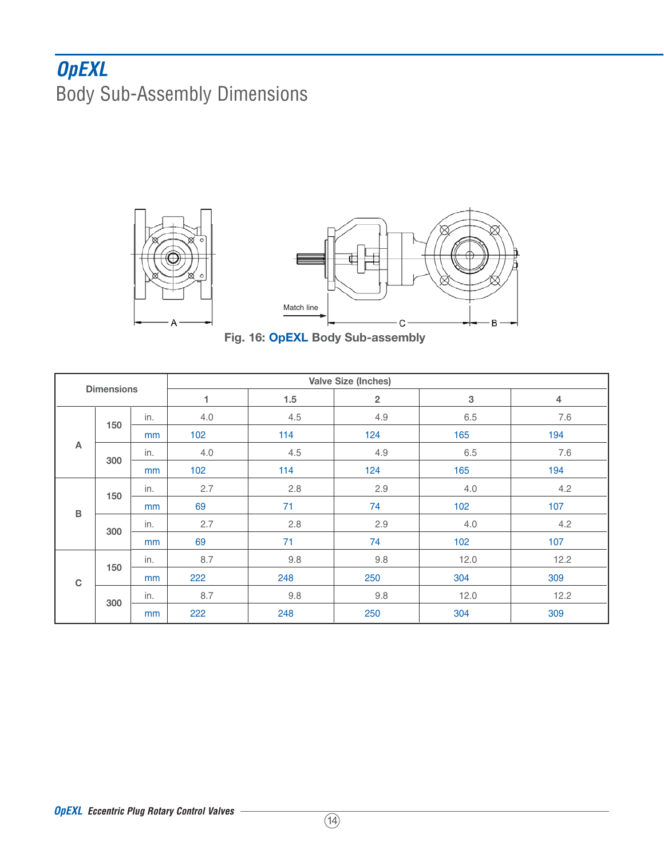## **OpEXL** Body Sub-Assembly Dimensions





**Fig. 16: OpEXL Body Sub-assembly**

|                   |     | <b>Valve Size (Inches)</b> |     |     |                |             |                |  |  |  |  |
|-------------------|-----|----------------------------|-----|-----|----------------|-------------|----------------|--|--|--|--|
| <b>Dimensions</b> |     |                            | 1   | 1.5 | $\overline{2}$ | $\mathsf 3$ | $\overline{4}$ |  |  |  |  |
| A                 | 150 | in.                        | 4.0 | 4.5 | 4.9            | 6.5         | 7.6            |  |  |  |  |
|                   |     | mm                         | 102 | 114 | 124            | 165         | 194            |  |  |  |  |
|                   | 300 | in.                        | 4.0 | 4.5 | 4.9            | 6.5         | 7.6            |  |  |  |  |
|                   |     | mm                         | 102 | 114 | 124            | 165         | 194            |  |  |  |  |
| $\, {\bf B}$      | 150 | in.                        | 2.7 | 2.8 | 2.9            | 4.0         | 4.2            |  |  |  |  |
|                   |     | mm                         | 69  | 71  | 74             | 102         | 107            |  |  |  |  |
|                   | 300 | in.                        | 2.7 | 2.8 | 2.9            | 4.0         | 4.2            |  |  |  |  |
|                   |     | mm                         | 69  | 71  | 74             | 102         | 107            |  |  |  |  |
| $\mathbf C$       | 150 | in.                        | 8.7 | 9.8 | 9.8            | 12.0        | 12.2           |  |  |  |  |
|                   |     | mm                         | 222 | 248 | 250            | 304         | 309            |  |  |  |  |
|                   | 300 | in.                        | 8.7 | 9.8 | 9.8            | 12.0        | 12.2           |  |  |  |  |
|                   |     | mm                         | 222 | 248 | 250            | 304         | 309            |  |  |  |  |